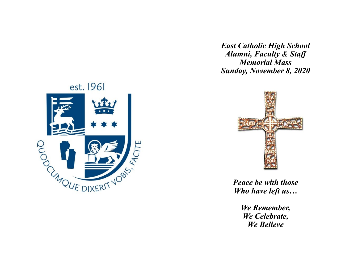*East Catholic High School Alumni, Faculty & Staff Memorial Mass Sunday, November 8, 2020*





*Peace be with those Who have left us…*

> *We Remember, We Celebrate, We Believe*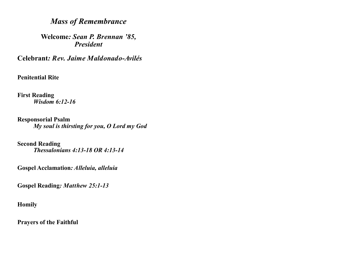# *Mass of Remembrance*

**Welcome***: Sean P. Brennan '85, President*

**Celebrant***: Rev. Jaime Maldonado-Avilés*

**Penitential Rite**

**First Reading** *Wisdom 6:12-16*

**Responsorial Psalm** *My soul is thirsting for you, O Lord my God* 

**Second Reading** *Thessalonians 4:13-18 OR 4:13-14*

**Gospel Acclamation***: Alleluia, alleluia*

**Gospel Reading***: Matthew 25:1-13*

**Homily**

**Prayers of the Faithful**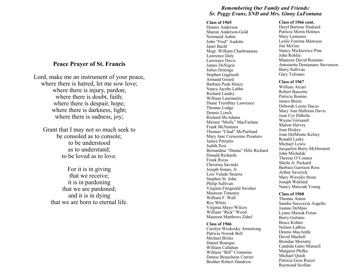# **Peace Prayer of St. Francis**

Lord, make me an instrument of your peace, where there is hatred, let me sow love; where there is injury, pardon; where there is doubt, faith; where there is despair, hope; where there is darkness, light; where there is sadness, joy;

Grant that I may not so much seek to be consoled as to console; to be understood as to understand; to be loved as to love.

For it is in giving that we receive; it is in pardoning that we are pardoned; and it is in dying that we are born to eternal life.

# *Remembering Our Family and Friends: Sr. Peggy Evans, SND and Mrs. Ginny LaFontana*

#### **Class of 1965**

Dennis Anderson Sharon Anderson -Gold Normand Aubin John "Fred" Audette Janet Bachl Msgr. William Charbonneau Lawrence Daly Lawrence Davis James DeNigris Julius Dolenga Stephen Gagliardi Armand Girard Barbara Peak Henzy Nancy Jacobs Labbe Richard Landry William Laurinaitis Diane Tremblay Lawrence Thomas Lodge Dennis Lynch Richard McAdams Miriam "Molly" MacFarlane Frank McNamara Thomas "Chad" McPartland Mary Jane Cersosimo Pesaturo Janice Petraitis Judith Post Bernardine "Deana" Hills Richard Donald Richards Frank Rizza Christina Savitski Joseph Simao, Jr. Lois Valade Stearns Stephen St. John Philip Sullivan Virginia Fitzgerald Swisher Maureen Timoney William F. Wall Roy White Virginia Mayo Wilcox William "Rick" Wood Maureen Matthews Zabel

#### **Class of 1966**

Carolyn Weskosky Armstrong Patricia Nowak Bell Michael Bixler Daniel Bourque William Callahan William "Bill" Crimmins Denise Beauchene Currier Brother Robert Dandrow

#### **Class of 1966 cont.**

Deryl Bartone Haskard Patricia Morin Holmes Mary Lamenzo Leslie Futoma Mancuso Jon McGee Nancy Mickiewicz Pine John Rohlin Maureen David Romano Antoinette Dentamaro Stevenson Barry Sullivan Gary Tolisano

#### **Class of 1967**

William Arcari Robert Bascetta Patricia Bonino James Breen Deborah Leone Dacus Mary Ann Halloran Davis Joan Cyr DiBella Wayne Girouard Sharon Harvey Jean Hickey Joan DelMonte Kelsey Ronald Lasky Michael Lewis Jacquelyn Barry McDermott John Michalak Therese O 'Connor Sheila A. Packard Barbara Garrison Ross Arthur Saverick Mary Wirzulis Stone Joseph Weklind Nancy Matczak Young

#### **Class of 1968**

Thomas Anton Sandra Saccoccia Augello Joanne DeMaio Lynne Masiuk Foran Barry Guliano Bruce Kohler Nelson LaBrec Dennis MacArdle David Machell Brendan Moriarty Candida Gatto Munsell Margaret Plefka Michael Quish Patricia Goss Ruzzo Raymond Scollan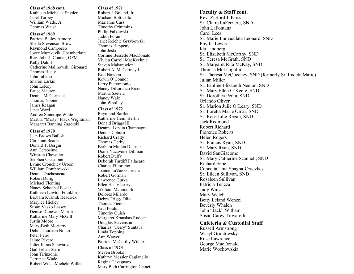#### **Class of 1968 cont.**

Kathleen Michalak Snyder Janet Torpey William Wade, Jr. Thomas Walsh

#### **Class of 1969**

Patricia Bailey Atmore Sheila Stevenson Brown Raymond Camposeo Joyce Muzikevik Chamberlain Rev. John J. Conner, OFM Kelly Dahill Catherine Malinowski Girouard Thomas Healy John Iuliano Sharon Larkin John LeRoy Bruce Maurer Dennis McCormack Thomas Noone James Reagan Janet Ward Andrea Sinicrope White Martha "Marty" Flack Wightman Margaret Banning Zagorski

### **Class of 1970**

Jean Brown Ballok Christine Bearse Donald T. Bergin Ann Cersosimo Winston Chevalier Stephen Ciccalone Lynne Crouchley Urbon William Dombrowski Dennis Duchesneau Robert Durig Michael Fleming Nancy Schoebel Foster Kathleen Lawton Franklin Barbara Kusmik Headrick Marylee Hickey Susan Vasko Lassen Denise Donovan Martin Katharine Mary McGill Justin Moore Mary -Beth Moriarty Debra Thurston Nolan Peter Petro Jaime Rivero Juliet Jutras Schwartz Gail Lehan Stern John Tirinzonie Terrance Wade Robert WelchMichele Willett

### **Class of 1971**

Robert J. Boland, Jr. Michael Botticello Marianne Cass Timothy Crimmins Philip Falkowski Judith Foran Janet Reichle Grzybowski Thomas Happeny John Jeski Corinne Bessette MacDonald Vivien Carroll MacKechnie Steven Makarewicz Robert A. McCartney II Paul Newton Kevin O 'Connor Larry Pietrantonio Nancy DiLorenzo Ricci Martha Szetela Nancy Walz John Wholley

# **Class of 1972**

Raymond Bartlett Katherine Heim Berlin Donald Briggs III Deanne Lopata Champagne Dennis Coburn Richard Cratty Thomas Derby Barbara Mullen Dietrich Diane Yacavone Dillman Robert Duffy Deborah Tardiff Fallacaro Charles Filloramo Joanne LaVae Gabriele Robert Gorman Lawrence Gurka Ellen Healy Leary William Mannix, Sr. Dolores Milardo Debra Triggs Oliva Thomas Picone Paul Poulin Timothy Quish Margaret Krauskas Rudeen Douglas Stevenson Charles "Gerry" Suntava Linda Topping Ann Wawer Patricia McCarthy Wilcox

**Class of 1973** Steven Brooks Kathryn Messier Cagianello Regina Cavagnaro Mary Beth Carrington Cianci

### **Faculty & Staff cont.**

Rev. Zigford J. Kriss Sr. Claire LaFerriere, SND John LaFontana Carol Lees Sr. Marie Immaculata Leonard, SND Phyllis Lewis Ida Lindberg Sr. Elizabeth McCarthy, SND Sr. Teresa McGrath, SND Sr. Margaret Rita McKay, SND Thomas McLaughlin Sr. Theresa McQueeney, SND (formerly Sr. Imelda Marie) Julian Miller Sr. Pauline Elizabeth Neelon, SND Sr. Mary Ellen O 'Keefe, SND Sr. Dorothea Penta, SND Orlando Oliver Sr. Marion Julie O 'Leary, SND Sr. Loretta Marie Omar, SND Sr. Rose Julie Regan, SND Jack Redmond Robert Richard Florence Roberts Helen Rogers Sr. Francis Ryan, SND Sr. Mary Ryan, SND David SanGiacomo Sr. Mary Catherine Scannell, SND Richard Sepe Concetta Tina Spagna -Czaczkes Sr. Eileen Sullivan, SND Rosaleen Sullivan Patricia Tencza Judy Walz Mary Welch Betty Leland Wenzel Beverly Whalen John "Jack" Witham Susan Carey Trovarelli

# **Cafeteria & Custodial Staff**

Russell Armstrong Wasyl Gruntowsky Rose Lawrence George MacDonald Marie Wochowskia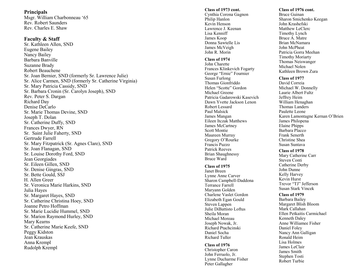# **Principals**

Msgr. William Charbonneau '65 Rev. Robert Saunders Rev. Charles E. Shaw

# **Faculty & Staff**

Sr. Kathleen Allen, SND Eugene Bailey Nancy Bailey Barbara Banville Suzanne Brady Robert Beauchene Sr. Joan Bernier, SND (formerly Sr. Lawrence Julie) Sr. Alice Carmen, SND (formerly Sr. Catherine Virginia) Sr. Mary Patricia Cassidy, SND Sr. Barbara Cronin (Sr. Carolyn Joseph), SND Rev. Peter S. Dargan Richard Day Denise DeCarlo Sr. Marie Thomas Devine, SND Joseph T. Dolan Sr. Catherine Duffy, SND Frances Dwyer, RN Sr. Saint Julie Faherty, SND Gertrude Farrell Sr. Mary Fitzpatrick (Sr. Agnes Clare), SND Sr. Joan Flanagan, SND Sr. Louise Dorothy Ford, SND Jean Georgiades Sr. Eileen Gillen, SND Sr. Denise Gingras, SND Sr. Bette Gould, SSJ H. Allen Greer Sr. Veronica Marie Harkins, SND Julia Hayes Sr. Margaret Hayes, SND Sr. Catherine Christina Hoey, SND Joanne Petro Hoffman Sr. Marie Lucidie Hummel, SND Sr. Marion Raymond Hurley, SND Mary Kearns Sr. Catherine Marie Keefe, SND Peggy Kidston Jean Krauskas Anna Krempl Rudolph Krempl

#### **Class of 1973 cont.**

Cynthia Corona Gagnon Philip Hanlon Kevin Henson Lawrence J. Keenan Lisa Kenniff James Koop Donna Sawtelle Lis James McVeigh John R. Morin

### **Class of 1974**

John Charette Frances Klinkevich Fogarty George "Ernie" Fournier Susan Furlong Thomas Gionfriddo Helen "Scotte" Gordon Michael Greene Patricia Gadarowski Kasevich Dawn Yvette Jackson Lenon Robert Lessard Paul Malsick James Mangan Eileen Itczak Matthews James McCartney Scott Montie Maureen Murray Gregory O 'Rourke Francis Puzzo Patrick Reeves Brian Shaughnessy Bruce Ward

### **Class of 1975**

Janet Breen Lynne Anne Carver Sharon Campbell -Daddona Terrance Farrell Maryann Golden Charlene Vaslet Gordon Elizabeth Egan Gould Steven Lappen Julie DiBattisto Loftus Sheila Moran Michael Moreau Joseph Nowak, Jr. Richard Ptachcinski Daniel Socha Richard Tuller

#### **Class of 1976**

Christopher Caron John Ferruolo, Jr. Lynne Ducharme Fisher Peter Gallagher

# **Class of 1976 cont.**

Bruce Guinan Sharon Smichenko Keegan John Krashefski Matthew LeClerc Timothy Lynch Bruce A. Matre Brian McNamara John McPheat Patricia Gorra Meehan Timothy Moriarty Thomas Neiswanger Michael Nolen Kathleen Brown Zura

### **Class of 1977**

David Correia Michael W. Donnelly Laurie Albert Fultz Jeffrey Heim William Henaghan Thomas Landers Paulette Leone Karen Lamontagne Kernan O 'Brien James Philopena Elaine Phipps Barbara Placco Frank Senerth Christine Shea Susan Suntava

### **Class of 1978**

Mary Catherine Carr Steven Conti Catherine Derby John Dunne Kelly Harvey Kevin Hurst Trevor "TJ" Jefferson Susan Stark Vincek

### **Class of 1979**

Barbara Bailey Margaret Blish Bloom Mark Callahan Ellen Petkaitis Carmichael Kenneth Daley Anne Williamee Fisher Daniel Foley Nancy Ann Galligan Ronald Heim Lisa Holmes James LeClair James Smith Stephen Tosti Robert Turbie